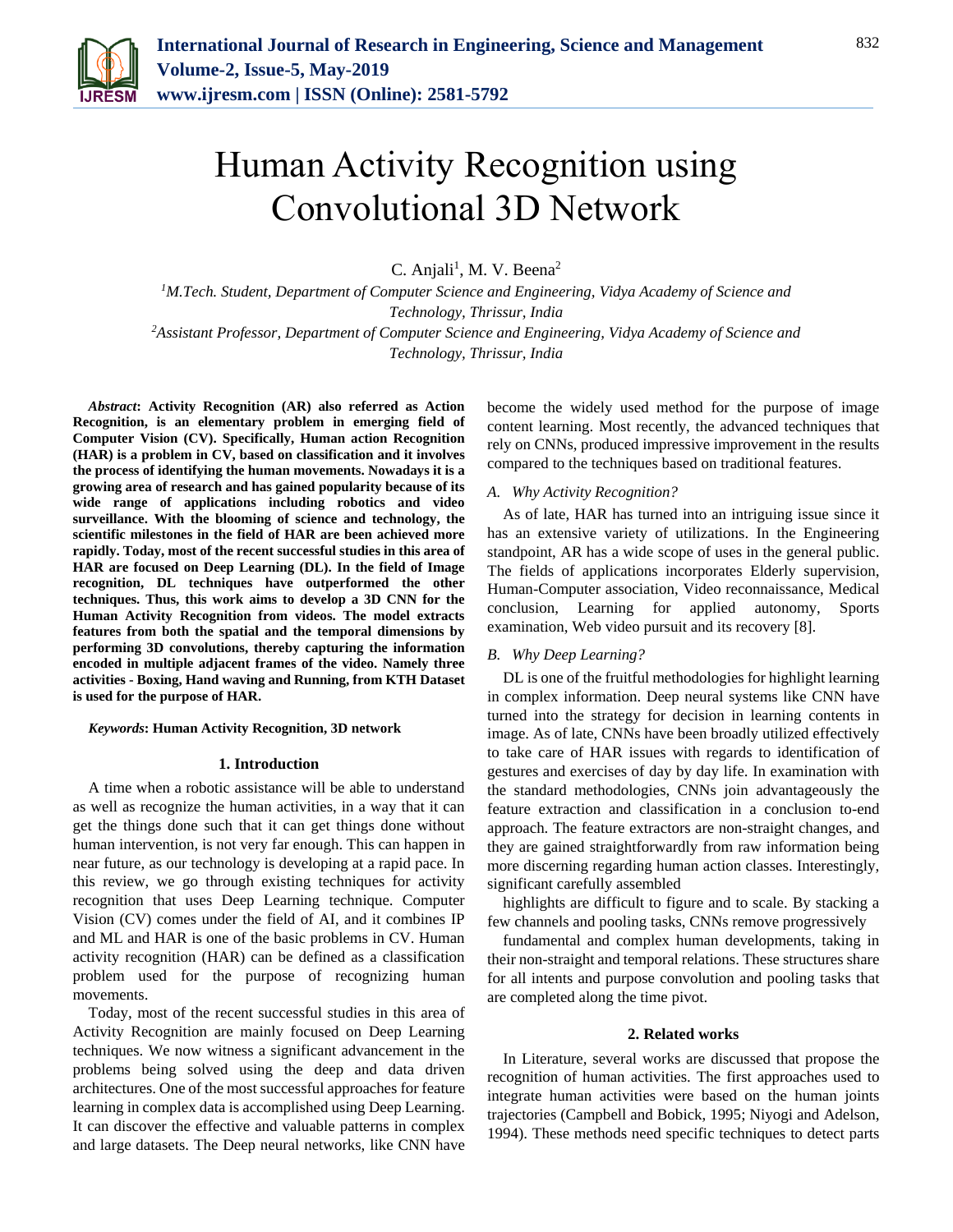

# Human Activity Recognition using Convolutional 3D Network

C. Anjali<sup>1</sup>, M. V. Beena<sup>2</sup>

*<sup>1</sup>M.Tech. Student, Department of Computer Science and Engineering, Vidya Academy of Science and Technology, Thrissur, India <sup>2</sup>Assistant Professor, Department of Computer Science and Engineering, Vidya Academy of Science and* 

*Technology, Thrissur, India*

*Abstract***: Activity Recognition (AR) also referred as Action Recognition, is an elementary problem in emerging field of Computer Vision (CV). Specifically, Human action Recognition (HAR) is a problem in CV, based on classification and it involves the process of identifying the human movements. Nowadays it is a growing area of research and has gained popularity because of its wide range of applications including robotics and video surveillance. With the blooming of science and technology, the scientific milestones in the field of HAR are been achieved more rapidly. Today, most of the recent successful studies in this area of HAR are focused on Deep Learning (DL). In the field of Image recognition, DL techniques have outperformed the other techniques. Thus, this work aims to develop a 3D CNN for the Human Activity Recognition from videos. The model extracts features from both the spatial and the temporal dimensions by performing 3D convolutions, thereby capturing the information encoded in multiple adjacent frames of the video. Namely three activities - Boxing, Hand waving and Running, from KTH Dataset is used for the purpose of HAR.**

## *Keywords***: Human Activity Recognition, 3D network**

#### **1. Introduction**

A time when a robotic assistance will be able to understand as well as recognize the human activities, in a way that it can get the things done such that it can get things done without human intervention, is not very far enough. This can happen in near future, as our technology is developing at a rapid pace. In this review, we go through existing techniques for activity recognition that uses Deep Learning technique. Computer Vision (CV) comes under the field of AI, and it combines IP and ML and HAR is one of the basic problems in CV. Human activity recognition (HAR) can be defined as a classification problem used for the purpose of recognizing human movements.

Today, most of the recent successful studies in this area of Activity Recognition are mainly focused on Deep Learning techniques. We now witness a significant advancement in the problems being solved using the deep and data driven architectures. One of the most successful approaches for feature learning in complex data is accomplished using Deep Learning. It can discover the effective and valuable patterns in complex and large datasets. The Deep neural networks, like CNN have

become the widely used method for the purpose of image content learning. Most recently, the advanced techniques that rely on CNNs, produced impressive improvement in the results compared to the techniques based on traditional features.

#### *A. Why Activity Recognition?*

As of late, HAR has turned into an intriguing issue since it has an extensive variety of utilizations. In the Engineering standpoint, AR has a wide scope of uses in the general public. The fields of applications incorporates Elderly supervision, Human-Computer association, Video reconnaissance, Medical conclusion, Learning for applied autonomy, Sports examination, Web video pursuit and its recovery [8].

### *B. Why Deep Learning?*

DL is one of the fruitful methodologies for highlight learning in complex information. Deep neural systems like CNN have turned into the strategy for decision in learning contents in image. As of late, CNNs have been broadly utilized effectively to take care of HAR issues with regards to identification of gestures and exercises of day by day life. In examination with the standard methodologies, CNNs join advantageously the feature extraction and classification in a conclusion to-end approach. The feature extractors are non-straight changes, and they are gained straightforwardly from raw information being more discerning regarding human action classes. Interestingly, significant carefully assembled

highlights are difficult to figure and to scale. By stacking a few channels and pooling tasks, CNNs remove progressively

fundamental and complex human developments, taking in their non-straight and temporal relations. These structures share for all intents and purpose convolution and pooling tasks that are completed along the time pivot.

#### **2. Related works**

In Literature, several works are discussed that propose the recognition of human activities. The first approaches used to integrate human activities were based on the human joints trajectories (Campbell and Bobick, 1995; Niyogi and Adelson, 1994). These methods need specific techniques to detect parts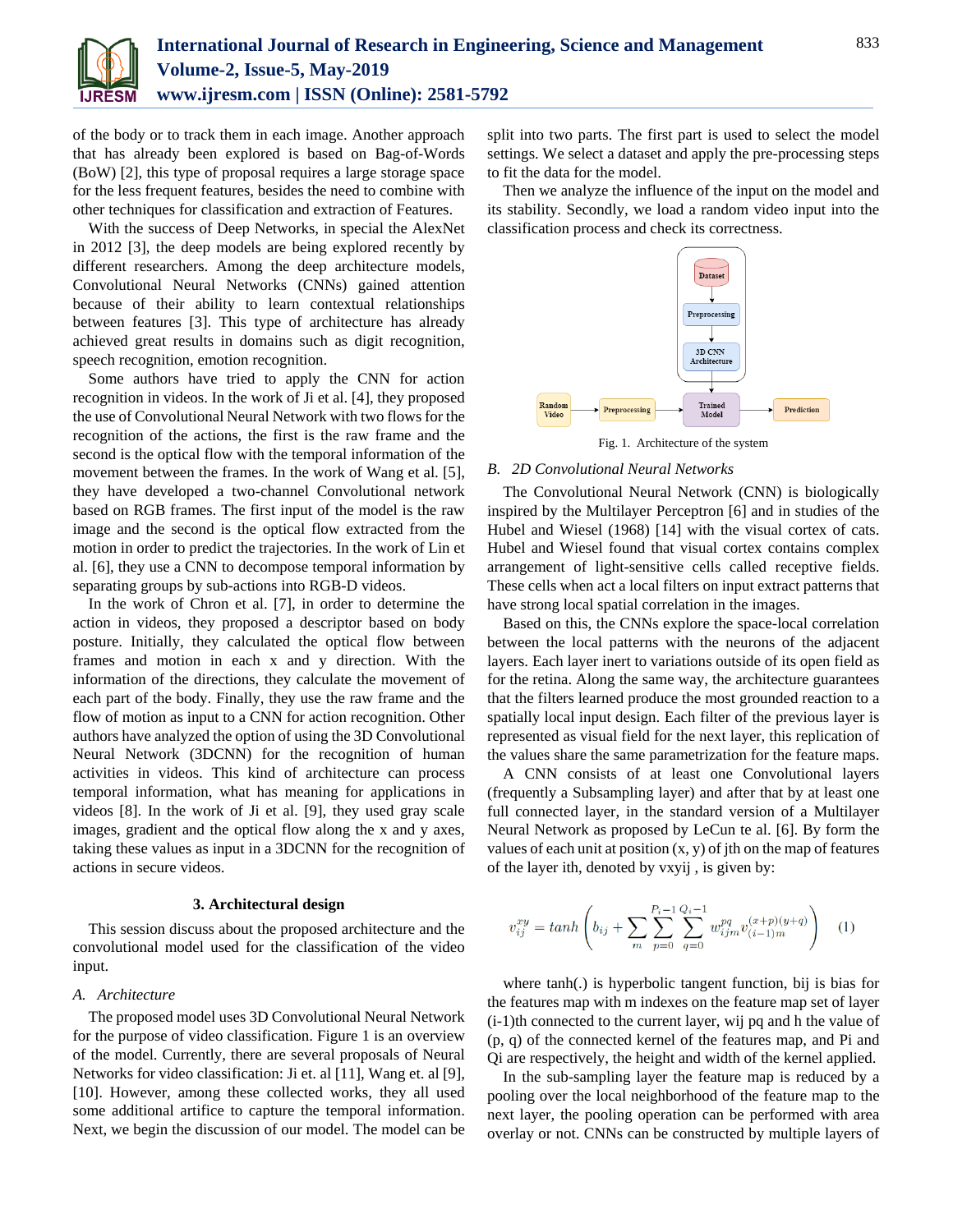

of the body or to track them in each image. Another approach that has already been explored is based on Bag-of-Words (BoW) [2], this type of proposal requires a large storage space for the less frequent features, besides the need to combine with other techniques for classification and extraction of Features.

With the success of Deep Networks, in special the AlexNet in 2012 [3], the deep models are being explored recently by different researchers. Among the deep architecture models, Convolutional Neural Networks (CNNs) gained attention because of their ability to learn contextual relationships between features [3]. This type of architecture has already achieved great results in domains such as digit recognition, speech recognition, emotion recognition.

Some authors have tried to apply the CNN for action recognition in videos. In the work of Ji et al. [4], they proposed the use of Convolutional Neural Network with two flows for the recognition of the actions, the first is the raw frame and the second is the optical flow with the temporal information of the movement between the frames. In the work of Wang et al. [5], they have developed a two-channel Convolutional network based on RGB frames. The first input of the model is the raw image and the second is the optical flow extracted from the motion in order to predict the trajectories. In the work of Lin et al. [6], they use a CNN to decompose temporal information by separating groups by sub-actions into RGB-D videos.

In the work of Chron et al. [7], in order to determine the action in videos, they proposed a descriptor based on body posture. Initially, they calculated the optical flow between frames and motion in each x and y direction. With the information of the directions, they calculate the movement of each part of the body. Finally, they use the raw frame and the flow of motion as input to a CNN for action recognition. Other authors have analyzed the option of using the 3D Convolutional Neural Network (3DCNN) for the recognition of human activities in videos. This kind of architecture can process temporal information, what has meaning for applications in videos [8]. In the work of Ji et al. [9], they used gray scale images, gradient and the optical flow along the x and y axes, taking these values as input in a 3DCNN for the recognition of actions in secure videos.

#### **3. Architectural design**

This session discuss about the proposed architecture and the convolutional model used for the classification of the video input.

# *A. Architecture*

The proposed model uses 3D Convolutional Neural Network for the purpose of video classification. Figure 1 is an overview of the model. Currently, there are several proposals of Neural Networks for video classification: Ji et. al [11], Wang et. al [9], [10]. However, among these collected works, they all used some additional artifice to capture the temporal information. Next, we begin the discussion of our model. The model can be split into two parts. The first part is used to select the model settings. We select a dataset and apply the pre-processing steps to fit the data for the model.

Then we analyze the influence of the input on the model and its stability. Secondly, we load a random video input into the classification process and check its correctness.



Fig. 1. Architecture of the system

#### *B. 2D Convolutional Neural Networks*

The Convolutional Neural Network (CNN) is biologically inspired by the Multilayer Perceptron [6] and in studies of the Hubel and Wiesel (1968) [14] with the visual cortex of cats. Hubel and Wiesel found that visual cortex contains complex arrangement of light-sensitive cells called receptive fields. These cells when act a local filters on input extract patterns that have strong local spatial correlation in the images.

Based on this, the CNNs explore the space-local correlation between the local patterns with the neurons of the adjacent layers. Each layer inert to variations outside of its open field as for the retina. Along the same way, the architecture guarantees that the filters learned produce the most grounded reaction to a spatially local input design. Each filter of the previous layer is represented as visual field for the next layer, this replication of the values share the same parametrization for the feature maps.

A CNN consists of at least one Convolutional layers (frequently a Subsampling layer) and after that by at least one full connected layer, in the standard version of a Multilayer Neural Network as proposed by LeCun te al. [6]. By form the values of each unit at position  $(x, y)$  of jth on the map of features of the layer ith, denoted by vxyij , is given by:

$$
v_{ij}^{xy} = \tanh\left(b_{ij} + \sum_{m} \sum_{p=0}^{P_i - 1} \sum_{q=0}^{Q_i - 1} w_{ijm}^{pq} v_{(i-1)m}^{(x+p)(y+q)}\right) \tag{1}
$$

where tanh(.) is hyperbolic tangent function, bij is bias for the features map with m indexes on the feature map set of layer (i-1)th connected to the current layer, wij pq and h the value of (p, q) of the connected kernel of the features map, and Pi and Qi are respectively, the height and width of the kernel applied.

In the sub-sampling layer the feature map is reduced by a pooling over the local neighborhood of the feature map to the next layer, the pooling operation can be performed with area overlay or not. CNNs can be constructed by multiple layers of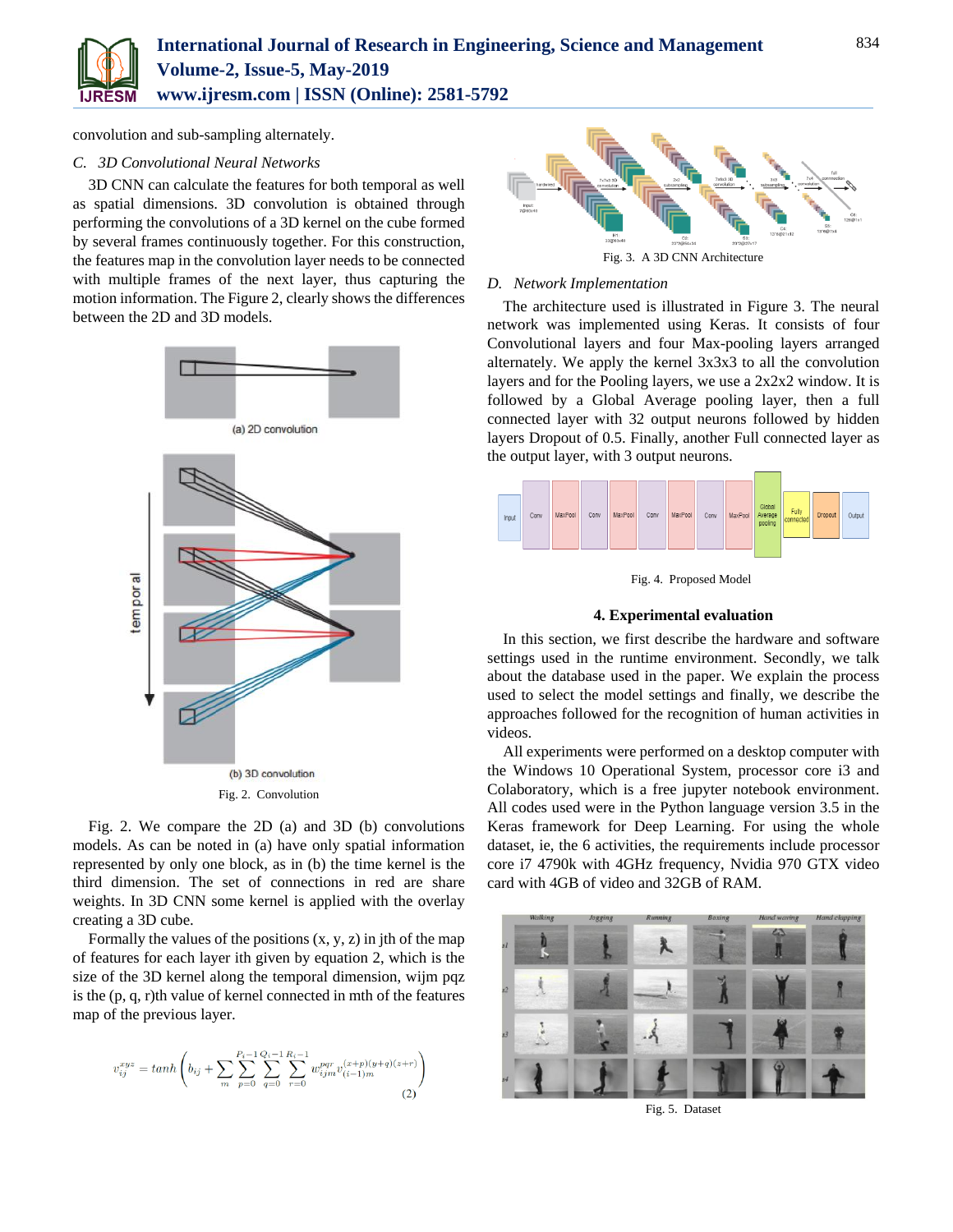

convolution and sub-sampling alternately.

# *C. 3D Convolutional Neural Networks*

3D CNN can calculate the features for both temporal as well as spatial dimensions. 3D convolution is obtained through performing the convolutions of a 3D kernel on the cube formed by several frames continuously together. For this construction, the features map in the convolution layer needs to be connected with multiple frames of the next layer, thus capturing the motion information. The Figure 2, clearly shows the differences between the 2D and 3D models.



Fig. 2. We compare the 2D (a) and 3D (b) convolutions models. As can be noted in (a) have only spatial information represented by only one block, as in (b) the time kernel is the third dimension. The set of connections in red are share weights. In 3D CNN some kernel is applied with the overlay creating a 3D cube.

Formally the values of the positions  $(x, y, z)$  in jth of the map of features for each layer ith given by equation 2, which is the size of the 3D kernel along the temporal dimension, wijm pqz is the (p, q, r)th value of kernel connected in mth of the features map of the previous layer.

$$
v_{ij}^{xyz} = \tanh\left(b_{ij} + \sum_{m} \sum_{p=0}^{P_i - 1} \sum_{q=0}^{Q_i - 1} \sum_{r=0}^{R_i - 1} w_{ijm}^{pqr} v_{(i-1)m}^{(x+p)(y+q)(z+r)}\right)
$$
(2)



## *D. Network Implementation*

The architecture used is illustrated in Figure 3. The neural network was implemented using Keras. It consists of four Convolutional layers and four Max-pooling layers arranged alternately. We apply the kernel 3x3x3 to all the convolution layers and for the Pooling layers, we use a 2x2x2 window. It is followed by a Global Average pooling layer, then a full connected layer with 32 output neurons followed by hidden layers Dropout of 0.5. Finally, another Full connected layer as the output layer, with 3 output neurons.



Fig. 4. Proposed Model

## **4. Experimental evaluation**

In this section, we first describe the hardware and software settings used in the runtime environment. Secondly, we talk about the database used in the paper. We explain the process used to select the model settings and finally, we describe the approaches followed for the recognition of human activities in videos.

All experiments were performed on a desktop computer with the Windows 10 Operational System, processor core i3 and Colaboratory, which is a free jupyter notebook environment. All codes used were in the Python language version 3.5 in the Keras framework for Deep Learning. For using the whole dataset, ie, the 6 activities, the requirements include processor core i7 4790k with 4GHz frequency, Nvidia 970 GTX video card with 4GB of video and 32GB of RAM.



Fig. 5. Dataset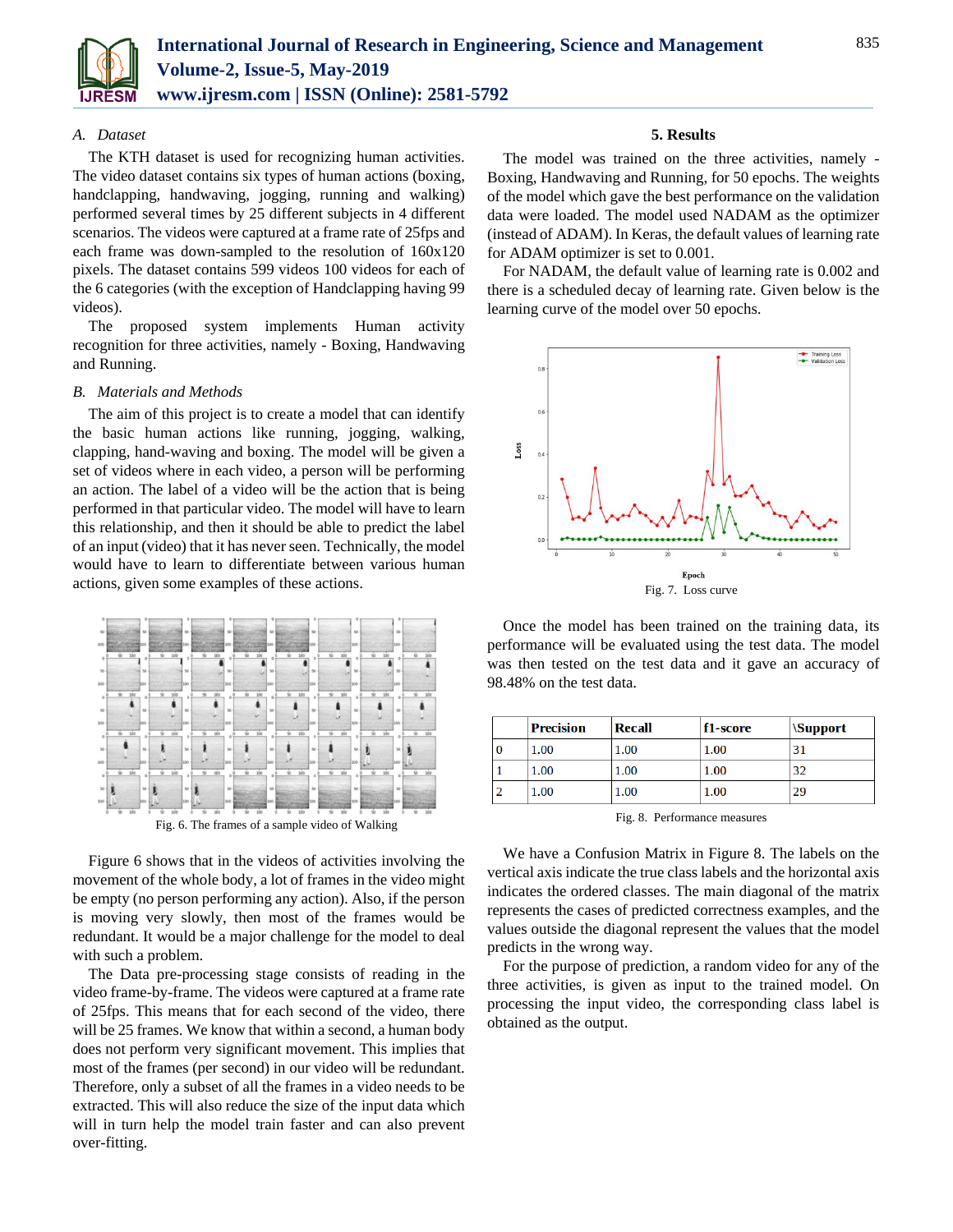

## *A. Dataset*

The KTH dataset is used for recognizing human activities. The video dataset contains six types of human actions (boxing, handclapping, handwaving, jogging, running and walking) performed several times by 25 different subjects in 4 different scenarios. The videos were captured at a frame rate of 25fps and each frame was down-sampled to the resolution of 160x120 pixels. The dataset contains 599 videos 100 videos for each of the 6 categories (with the exception of Handclapping having 99 videos).

The proposed system implements Human activity recognition for three activities, namely - Boxing, Handwaving and Running.

## *B. Materials and Methods*

The aim of this project is to create a model that can identify the basic human actions like running, jogging, walking, clapping, hand-waving and boxing. The model will be given a set of videos where in each video, a person will be performing an action. The label of a video will be the action that is being performed in that particular video. The model will have to learn this relationship, and then it should be able to predict the label of an input (video) that it has never seen. Technically, the model would have to learn to differentiate between various human actions, given some examples of these actions.



Figure 6 shows that in the videos of activities involving the movement of the whole body, a lot of frames in the video might be empty (no person performing any action). Also, if the person is moving very slowly, then most of the frames would be redundant. It would be a major challenge for the model to deal with such a problem.

The Data pre-processing stage consists of reading in the video frame-by-frame. The videos were captured at a frame rate of 25fps. This means that for each second of the video, there will be 25 frames. We know that within a second, a human body does not perform very significant movement. This implies that most of the frames (per second) in our video will be redundant. Therefore, only a subset of all the frames in a video needs to be extracted. This will also reduce the size of the input data which will in turn help the model train faster and can also prevent over-fitting.

## **5. Results**

The model was trained on the three activities, namely - Boxing, Handwaving and Running, for 50 epochs. The weights of the model which gave the best performance on the validation data were loaded. The model used NADAM as the optimizer (instead of ADAM). In Keras, the default values of learning rate for ADAM optimizer is set to 0.001.

For NADAM, the default value of learning rate is 0.002 and there is a scheduled decay of learning rate. Given below is the learning curve of the model over 50 epochs.



Once the model has been trained on the training data, its performance will be evaluated using the test data. The model was then tested on the test data and it gave an accuracy of 98.48% on the test data.

| <b>Precision</b> | <b>Recall</b> | $f1-score$ | <i><b>\Support</b></i> |
|------------------|---------------|------------|------------------------|
| 1.00             | 1.00          | 1.00       | 31                     |
| 1.00             | 1.00          | 1.00       | 32                     |
| 1.00             | 1.00          | 1.00       | 29                     |

Fig. 8. Performance measures

We have a Confusion Matrix in Figure 8. The labels on the vertical axis indicate the true class labels and the horizontal axis indicates the ordered classes. The main diagonal of the matrix represents the cases of predicted correctness examples, and the values outside the diagonal represent the values that the model predicts in the wrong way.

For the purpose of prediction, a random video for any of the three activities, is given as input to the trained model. On processing the input video, the corresponding class label is obtained as the output.